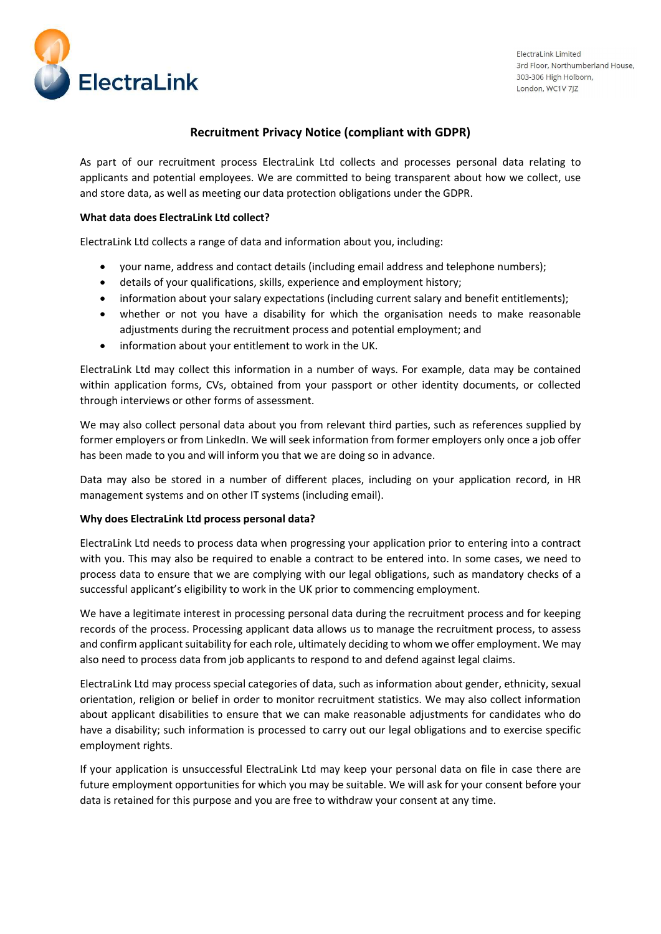

# Recruitment Privacy Notice (compliant with GDPR)

As part of our recruitment process ElectraLink Ltd collects and processes personal data relating to applicants and potential employees. We are committed to being transparent about how we collect, use and store data, as well as meeting our data protection obligations under the GDPR.

## What data does ElectraLink Ltd collect?

ElectraLink Ltd collects a range of data and information about you, including:

- your name, address and contact details (including email address and telephone numbers);
- details of your qualifications, skills, experience and employment history;
- information about your salary expectations (including current salary and benefit entitlements);
- whether or not you have a disability for which the organisation needs to make reasonable adjustments during the recruitment process and potential employment; and
- information about your entitlement to work in the UK.

ElectraLink Ltd may collect this information in a number of ways. For example, data may be contained within application forms, CVs, obtained from your passport or other identity documents, or collected through interviews or other forms of assessment.

We may also collect personal data about you from relevant third parties, such as references supplied by former employers or from LinkedIn. We will seek information from former employers only once a job offer has been made to you and will inform you that we are doing so in advance.

Data may also be stored in a number of different places, including on your application record, in HR management systems and on other IT systems (including email).

### Why does ElectraLink Ltd process personal data?

ElectraLink Ltd needs to process data when progressing your application prior to entering into a contract with you. This may also be required to enable a contract to be entered into. In some cases, we need to process data to ensure that we are complying with our legal obligations, such as mandatory checks of a successful applicant's eligibility to work in the UK prior to commencing employment.

We have a legitimate interest in processing personal data during the recruitment process and for keeping records of the process. Processing applicant data allows us to manage the recruitment process, to assess and confirm applicant suitability for each role, ultimately deciding to whom we offer employment. We may also need to process data from job applicants to respond to and defend against legal claims.

ElectraLink Ltd may process special categories of data, such as information about gender, ethnicity, sexual orientation, religion or belief in order to monitor recruitment statistics. We may also collect information about applicant disabilities to ensure that we can make reasonable adjustments for candidates who do have a disability; such information is processed to carry out our legal obligations and to exercise specific employment rights.

If your application is unsuccessful ElectraLink Ltd may keep your personal data on file in case there are future employment opportunities for which you may be suitable. We will ask for your consent before your data is retained for this purpose and you are free to withdraw your consent at any time.